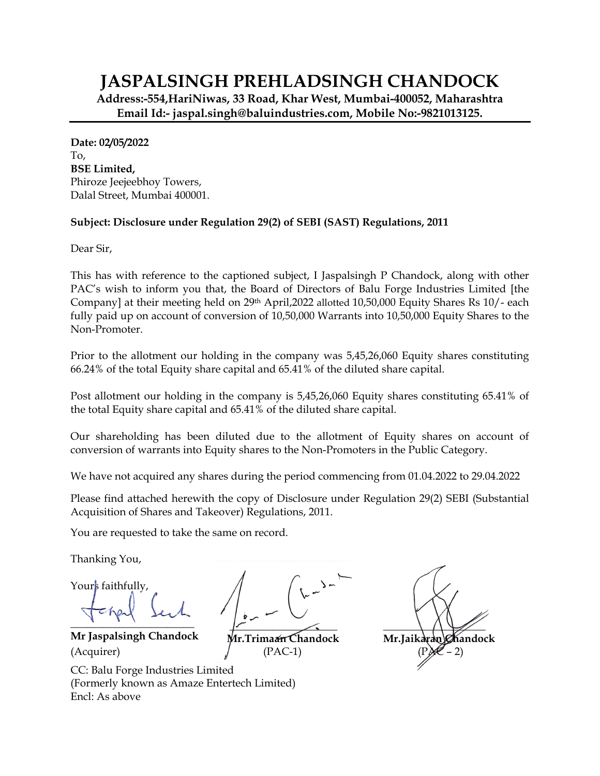## **JASPALSINGH PREHLADSINGH CHANDOCK**

**Address:-554,HariNiwas, 33 Road, Khar West, Mumbai-400052, Maharashtra Email Id:- jaspal.singh@baluindustries.com, Mobile No:-9821013125.** 

**Date: 02/05/2022**  To, **BSE Limited,**  Phiroze Jeejeebhoy Towers, Dalal Street, Mumbai 400001.

## **Subject: Disclosure under Regulation 29(2) of SEBI (SAST) Regulations, 2011**

Dear Sir,

This has with reference to the captioned subject, I Jaspalsingh P Chandock, along with other PAC's wish to inform you that, the Board of Directors of Balu Forge Industries Limited [the Company] at their meeting held on 29th April,2022 allotted 10,50,000 Equity Shares Rs 10/- each fully paid up on account of conversion of 10,50,000 Warrants into 10,50,000 Equity Shares to the Non-Promoter.

Prior to the allotment our holding in the company was 5,45,26,060 Equity shares constituting 66.24% of the total Equity share capital and 65.41% of the diluted share capital.

Post allotment our holding in the company is 5,45,26,060 Equity shares constituting 65.41% of the total Equity share capital and 65.41% of the diluted share capital.

Our shareholding has been diluted due to the allotment of Equity shares on account of conversion of warrants into Equity shares to the Non-Promoters in the Public Category.

We have not acquired any shares during the period commencing from 01.04.2022 to 29.04.2022

Please find attached herewith the copy of Disclosure under Regulation 29(2) SEBI (Substantial Acquisition of Shares and Takeover) Regulations, 2011.

You are requested to take the same on record.

Thanking You,

Yours faithfully,

**\_\_\_\_\_\_\_\_\_\_\_\_\_\_\_\_\_\_\_\_\_\_\_** 

**Mr Jaspalsingh Chandock \_\_\_\_\_\_\_\_\_\_\_\_\_\_\_\_\_\_\_\_**  (Acquirer)  $/$  (PAC-1) (PAC-2)



**Mr.Trimaan Chandock** 



CC: Balu Forge Industries Limited (Formerly known as Amaze Entertech Limited) Encl: As above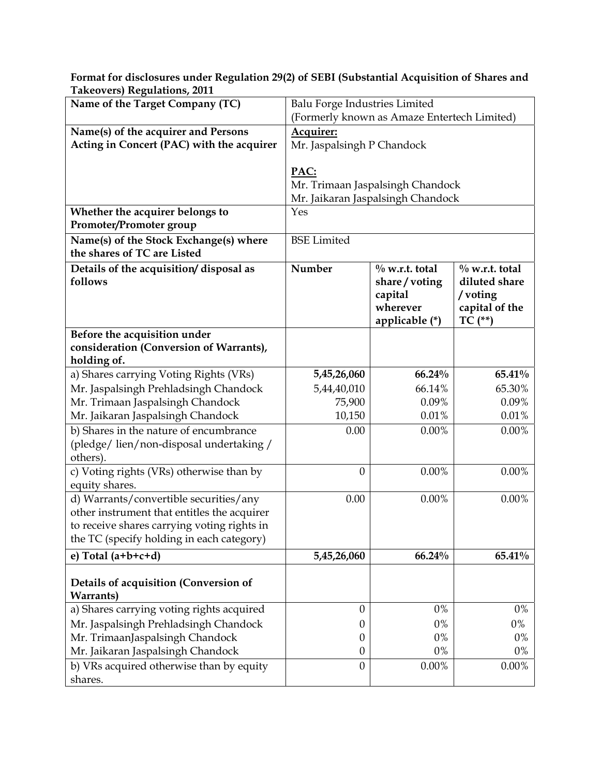**Format for disclosures under Regulation 29(2) of SEBI (Substantial Acquisition of Shares and Takeovers) Regulations, 2011**

| Name of the Target Company (TC)                                                                                                                                                   | Balu Forge Industries Limited                                                 |                                                                            |                                                                              |  |
|-----------------------------------------------------------------------------------------------------------------------------------------------------------------------------------|-------------------------------------------------------------------------------|----------------------------------------------------------------------------|------------------------------------------------------------------------------|--|
|                                                                                                                                                                                   | (Formerly known as Amaze Entertech Limited)                                   |                                                                            |                                                                              |  |
| Name(s) of the acquirer and Persons<br>Acting in Concert (PAC) with the acquirer                                                                                                  | Acquirer:<br>Mr. Jaspalsingh P Chandock                                       |                                                                            |                                                                              |  |
|                                                                                                                                                                                   | PAC:<br>Mr. Trimaan Jaspalsingh Chandock<br>Mr. Jaikaran Jaspalsingh Chandock |                                                                            |                                                                              |  |
| Whether the acquirer belongs to                                                                                                                                                   | Yes                                                                           |                                                                            |                                                                              |  |
| Promoter/Promoter group                                                                                                                                                           |                                                                               |                                                                            |                                                                              |  |
| Name(s) of the Stock Exchange(s) where<br>the shares of TC are Listed                                                                                                             | <b>BSE</b> Limited                                                            |                                                                            |                                                                              |  |
| Details of the acquisition/disposal as<br>follows                                                                                                                                 | Number                                                                        | $\%$ w.r.t. total<br>share/voting<br>capital<br>wherever<br>applicable (*) | $\%$ w.r.t. total<br>diluted share<br>/voting<br>capital of the<br>$TC$ (**) |  |
| Before the acquisition under                                                                                                                                                      |                                                                               |                                                                            |                                                                              |  |
| consideration (Conversion of Warrants),<br>holding of.                                                                                                                            |                                                                               |                                                                            |                                                                              |  |
| a) Shares carrying Voting Rights (VRs)                                                                                                                                            | 5,45,26,060                                                                   | 66.24%                                                                     | 65.41%                                                                       |  |
| Mr. Jaspalsingh Prehladsingh Chandock                                                                                                                                             | 5,44,40,010                                                                   | 66.14%                                                                     | 65.30%                                                                       |  |
| Mr. Trimaan Jaspalsingh Chandock                                                                                                                                                  | 75,900                                                                        | 0.09%                                                                      | 0.09%                                                                        |  |
| Mr. Jaikaran Jaspalsingh Chandock                                                                                                                                                 | 10,150                                                                        | 0.01%                                                                      | 0.01%                                                                        |  |
| b) Shares in the nature of encumbrance<br>(pledge/lien/non-disposal undertaking/<br>others).                                                                                      | 0.00                                                                          | 0.00%                                                                      | 0.00%                                                                        |  |
| c) Voting rights (VRs) otherwise than by<br>equity shares.                                                                                                                        | $\boldsymbol{0}$                                                              | 0.00%                                                                      | 0.00%                                                                        |  |
| d) Warrants/convertible securities/any<br>other instrument that entitles the acquirer<br>to receive shares carrying voting rights in<br>the TC (specify holding in each category) | 0.00                                                                          | 0.00%                                                                      | 0.00%                                                                        |  |
| e) Total $(a+b+c+d)$                                                                                                                                                              | 5,45,26,060                                                                   | 66.24%                                                                     | 65.41%                                                                       |  |
| Details of acquisition (Conversion of<br><b>Warrants</b> )                                                                                                                        |                                                                               |                                                                            |                                                                              |  |
| a) Shares carrying voting rights acquired                                                                                                                                         | $\theta$                                                                      | $0\%$                                                                      | $0\%$                                                                        |  |
| Mr. Jaspalsingh Prehladsingh Chandock                                                                                                                                             | 0                                                                             | 0%                                                                         | $0\%$                                                                        |  |
| Mr. TrimaanJaspalsingh Chandock                                                                                                                                                   | 0                                                                             | 0%                                                                         | 0%                                                                           |  |
| Mr. Jaikaran Jaspalsingh Chandock                                                                                                                                                 | $\boldsymbol{0}$                                                              | 0%                                                                         | $0\%$                                                                        |  |
| b) VRs acquired otherwise than by equity<br>shares.                                                                                                                               | $\boldsymbol{0}$                                                              | $0.00\%$                                                                   | $0.00\%$                                                                     |  |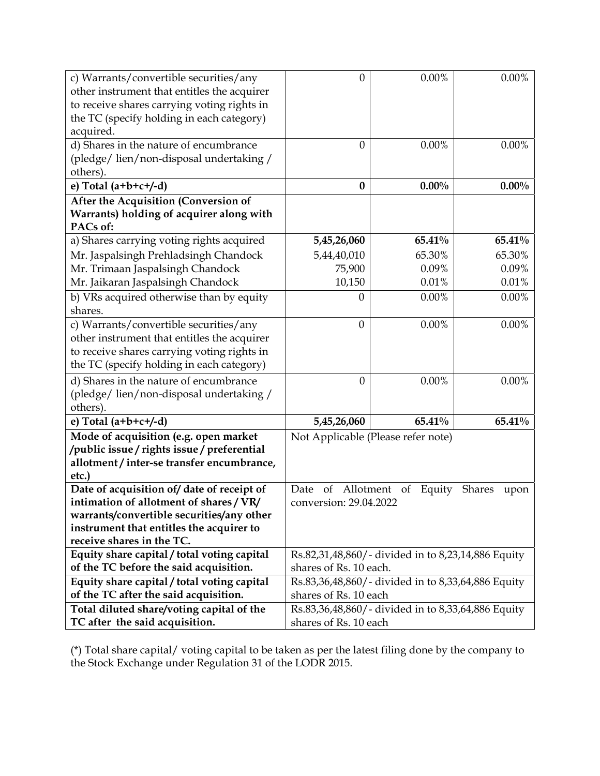| c) Warrants/convertible securities/any<br>other instrument that entitles the acquirer<br>to receive shares carrying voting rights in<br>the TC (specify holding in each category)<br>acquired. | 0                                                                           | 0.00%    | $0.00\%$ |  |
|------------------------------------------------------------------------------------------------------------------------------------------------------------------------------------------------|-----------------------------------------------------------------------------|----------|----------|--|
| d) Shares in the nature of encumbrance<br>(pledge/lien/non-disposal undertaking/<br>others).                                                                                                   | $\theta$                                                                    | 0.00%    | 0.00%    |  |
| e) Total $(a+b+c+/-d)$                                                                                                                                                                         | $\bf{0}$                                                                    | $0.00\%$ | $0.00\%$ |  |
| After the Acquisition (Conversion of<br>Warrants) holding of acquirer along with<br>PACs of:                                                                                                   |                                                                             |          |          |  |
| a) Shares carrying voting rights acquired                                                                                                                                                      | 5,45,26,060                                                                 | 65.41%   | 65.41%   |  |
| Mr. Jaspalsingh Prehladsingh Chandock                                                                                                                                                          | 5,44,40,010                                                                 | 65.30%   | 65.30%   |  |
| Mr. Trimaan Jaspalsingh Chandock                                                                                                                                                               | 75,900                                                                      | 0.09%    | 0.09%    |  |
| Mr. Jaikaran Jaspalsingh Chandock                                                                                                                                                              | 10,150                                                                      | 0.01%    | 0.01%    |  |
| b) VRs acquired otherwise than by equity<br>shares.                                                                                                                                            | 0                                                                           | 0.00%    | 0.00%    |  |
| c) Warrants/convertible securities/any<br>other instrument that entitles the acquirer<br>to receive shares carrying voting rights in<br>the TC (specify holding in each category)              | $\theta$                                                                    | 0.00%    | 0.00%    |  |
| d) Shares in the nature of encumbrance<br>(pledge/lien/non-disposal undertaking/<br>others).                                                                                                   | $\theta$                                                                    | 0.00%    | $0.00\%$ |  |
| e) Total $(a+b+c+/-d)$                                                                                                                                                                         | 5,45,26,060                                                                 | 65.41%   | 65.41%   |  |
| Mode of acquisition (e.g. open market<br>/public issue/rights issue/preferential<br>allotment / inter-se transfer encumbrance,<br>etc.)                                                        | Not Applicable (Please refer note)                                          |          |          |  |
| Date of acquisition of/date of receipt of                                                                                                                                                      | Allotment<br><b>Shares</b><br>Date<br>of<br><sub>of</sub><br>Equity<br>upon |          |          |  |
| intimation of allotment of shares/VR/                                                                                                                                                          | conversion: 29.04.2022                                                      |          |          |  |
| warrants/convertible securities/any other                                                                                                                                                      |                                                                             |          |          |  |
| instrument that entitles the acquirer to<br>receive shares in the TC.                                                                                                                          |                                                                             |          |          |  |
| Equity share capital / total voting capital                                                                                                                                                    | Rs.82,31,48,860/- divided in to 8,23,14,886 Equity                          |          |          |  |
| of the TC before the said acquisition.                                                                                                                                                         | shares of Rs. 10 each.                                                      |          |          |  |
| Equity share capital / total voting capital                                                                                                                                                    | Rs.83,36,48,860/- divided in to 8,33,64,886 Equity                          |          |          |  |
| of the TC after the said acquisition.                                                                                                                                                          | shares of Rs. 10 each                                                       |          |          |  |
| Total diluted share/voting capital of the                                                                                                                                                      | Rs.83,36,48,860/- divided in to 8,33,64,886 Equity                          |          |          |  |
| TC after the said acquisition.                                                                                                                                                                 | shares of Rs. 10 each                                                       |          |          |  |

(\*) Total share capital/ voting capital to be taken as per the latest filing done by the company to the Stock Exchange under Regulation 31 of the LODR 2015.